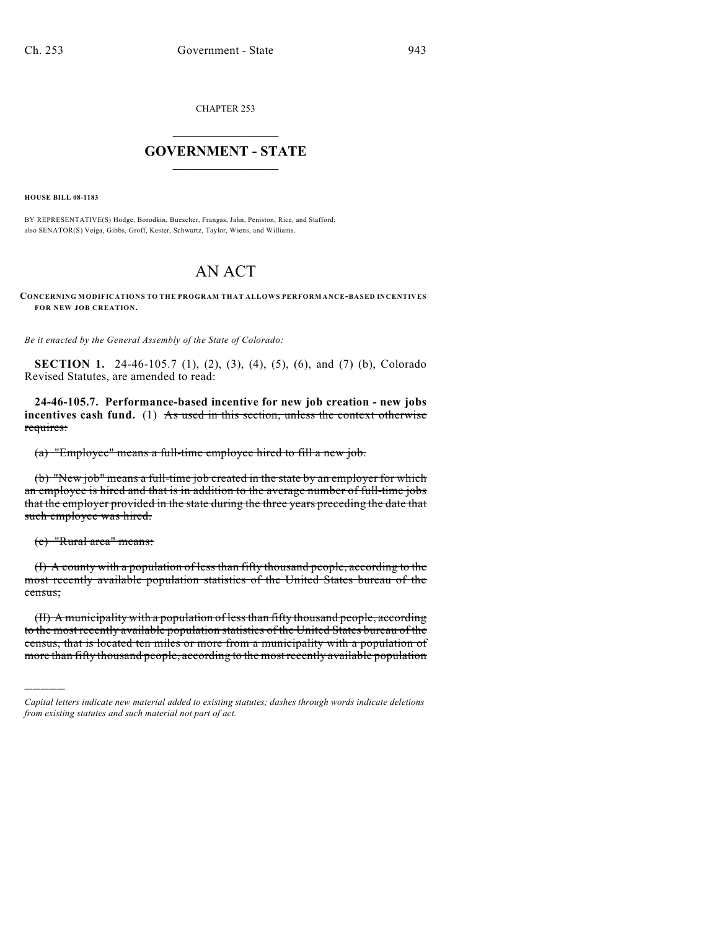CHAPTER 253

## $\mathcal{L}_\text{max}$  . The set of the set of the set of the set of the set of the set of the set of the set of the set of the set of the set of the set of the set of the set of the set of the set of the set of the set of the set **GOVERNMENT - STATE**  $\_$   $\_$   $\_$   $\_$   $\_$   $\_$   $\_$   $\_$   $\_$

**HOUSE BILL 08-1183**

BY REPRESENTATIVE(S) Hodge, Borodkin, Buescher, Frangas, Jahn, Peniston, Rice, and Stafford; also SENATOR(S) Veiga, Gibbs, Groff, Kester, Schwartz, Taylor, Wiens, and Williams.

## AN ACT

**CONCERNING MODIFICATIONS TO THE PROGRAM THAT ALLOWS PERFORMANCE-BASED INCENTIVES FOR NEW JOB CREATION.**

*Be it enacted by the General Assembly of the State of Colorado:*

**SECTION 1.** 24-46-105.7 (1), (2), (3), (4), (5), (6), and (7) (b), Colorado Revised Statutes, are amended to read:

**24-46-105.7. Performance-based incentive for new job creation - new jobs incentives cash fund.** (1) As used in this section, unless the context otherwise requires:

(a) "Employee" means a full-time employee hired to fill a new job.

(b) "New job" means a full-time job created in the state by an employer for which an employee is hired and that is in addition to the average number of full-time jobs that the employer provided in the state during the three years preceding the date that such employee was hired.

(c) "Rural area" means:

)))))

(I) A county with a population of less than fifty thousand people, according to the most recently available population statistics of the United States bureau of the census;

(II) A municipality with a population of less than fifty thousand people, according to the most recently available population statistics of the United States bureau of the census, that is located ten miles or more from a municipality with a population of more than fifty thousand people, according to the most recently available population

*Capital letters indicate new material added to existing statutes; dashes through words indicate deletions from existing statutes and such material not part of act.*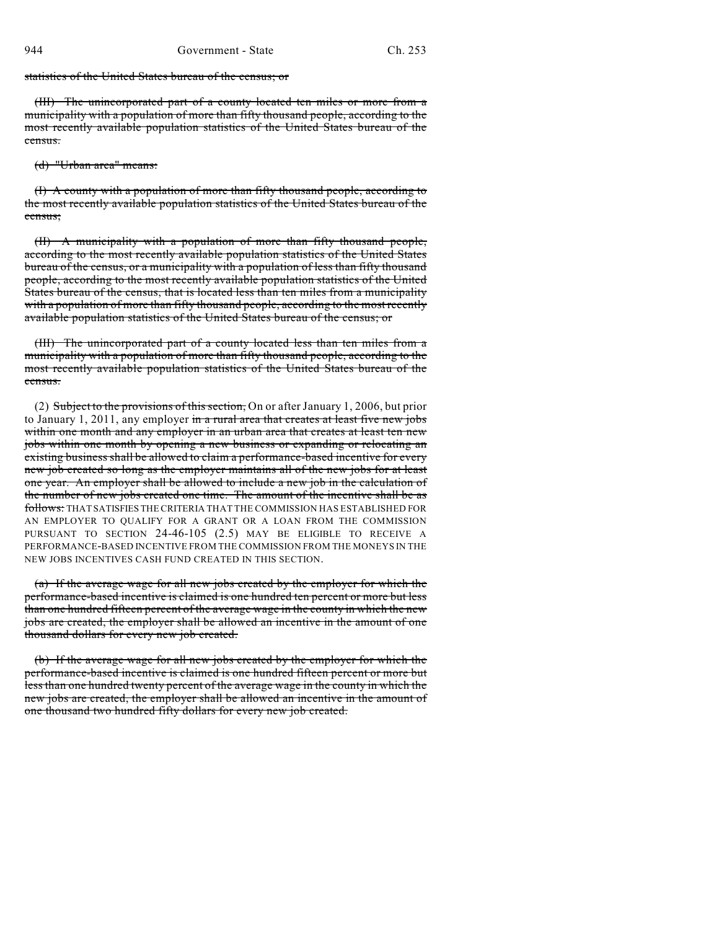statistics of the United States bureau of the census; or

(III) The unincorporated part of a county located ten miles or more from a municipality with a population of more than fifty thousand people, according to the most recently available population statistics of the United States bureau of the census.

(d) "Urban area" means:

(I) A county with a population of more than fifty thousand people, according to the most recently available population statistics of the United States bureau of the census;

(II) A municipality with a population of more than fifty thousand people, according to the most recently available population statistics of the United States bureau of the census, or a municipality with a population of less than fifty thousand people, according to the most recently available population statistics of the United States bureau of the census, that is located less than ten miles from a municipality with a population of more than fifty thousand people, according to the most recently available population statistics of the United States bureau of the census; or

(III) The unincorporated part of a county located less than ten miles from a municipality with a population of more than fifty thousand people, according to the most recently available population statistics of the United States bureau of the census.

(2) Subject to the provisions of this section, On or after January 1, 2006, but prior to January 1, 2011, any employer  $\frac{1}{2}$  a rural area that creates at least five new jobs within one month and any employer in an urban area that creates at least ten new jobs within one month by opening a new business or expanding or relocating an existing business shall be allowed to claim a performance-based incentive for every new job created so long as the employer maintains all of the new jobs for at least one year. An employer shall be allowed to include a new job in the calculation of the number of new jobs created one time. The amount of the incentive shall be as follows: THAT SATISFIES THE CRITERIA THAT THE COMMISSION HAS ESTABLISHED FOR AN EMPLOYER TO QUALIFY FOR A GRANT OR A LOAN FROM THE COMMISSION PURSUANT TO SECTION 24-46-105 (2.5) MAY BE ELIGIBLE TO RECEIVE A PERFORMANCE-BASED INCENTIVE FROM THE COMMISSION FROM THE MONEYS IN THE NEW JOBS INCENTIVES CASH FUND CREATED IN THIS SECTION.

(a) If the average wage for all new jobs created by the employer for which the performance-based incentive is claimed is one hundred ten percent or more but less than one hundred fifteen percent of the average wage in the county in which the new jobs are created, the employer shall be allowed an incentive in the amount of one thousand dollars for every new job created.

(b) If the average wage for all new jobs created by the employer for which the performance-based incentive is claimed is one hundred fifteen percent or more but less than one hundred twenty percent of the average wage in the county in which the new jobs are created, the employer shall be allowed an incentive in the amount of one thousand two hundred fifty dollars for every new job created.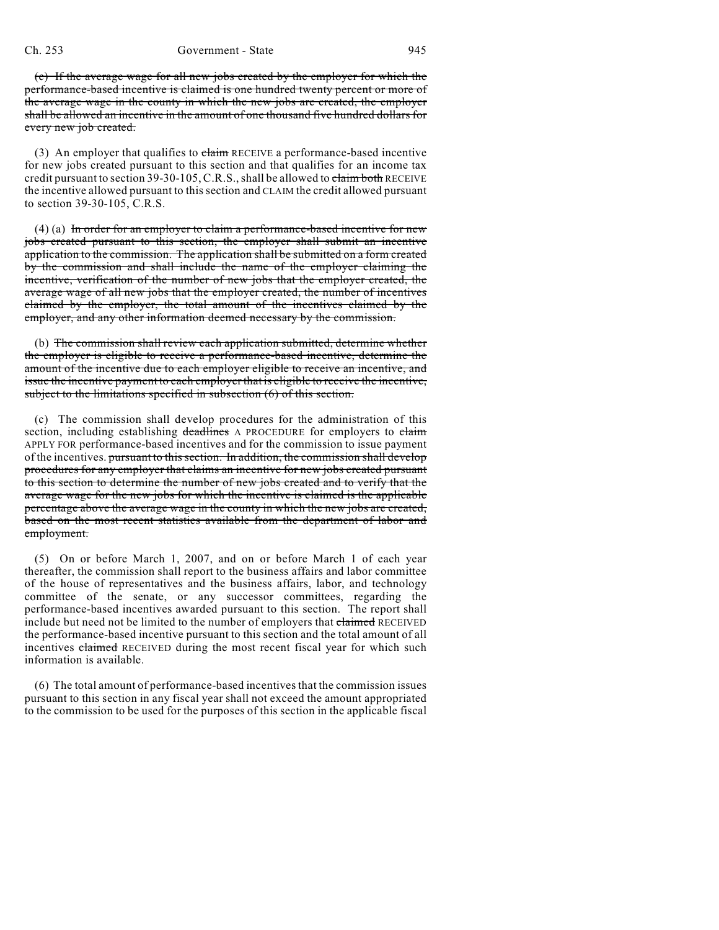(c) If the average wage for all new jobs created by the employer for which the performance-based incentive is claimed is one hundred twenty percent or more of the average wage in the county in which the new jobs are created, the employer shall be allowed an incentive in the amount of one thousand five hundred dollars for every new job created.

(3) An employer that qualifies to  $\frac{1}{\text{diam}}$  RECEIVE a performance-based incentive for new jobs created pursuant to this section and that qualifies for an income tax credit pursuant to section 39-30-105, C.R.S., shall be allowed to claim both RECEIVE the incentive allowed pursuant to this section and CLAIM the credit allowed pursuant to section 39-30-105, C.R.S.

(4) (a) In order for an employer to claim a performance-based incentive for new jobs created pursuant to this section, the employer shall submit an incentive application to the commission. The application shall be submitted on a form created by the commission and shall include the name of the employer claiming the incentive, verification of the number of new jobs that the employer created, the average wage of all new jobs that the employer created, the number of incentives claimed by the employer, the total amount of the incentives claimed by the employer, and any other information deemed necessary by the commission.

(b) The commission shall review each application submitted, determine whether the employer is eligible to receive a performance-based incentive, determine the amount of the incentive due to each employer eligible to receive an incentive, and issue the incentive payment to each employer that is eligible to receive the incentive, subject to the limitations specified in subsection (6) of this section.

(c) The commission shall develop procedures for the administration of this section, including establishing deadlines A PROCEDURE for employers to claim APPLY FOR performance-based incentives and for the commission to issue payment of the incentives. pursuant to this section. In addition, the commission shall develop procedures for any employer that claims an incentive for new jobs created pursuant to this section to determine the number of new jobs created and to verify that the average wage for the new jobs for which the incentive is claimed is the applicable percentage above the average wage in the county in which the new jobs are created, based on the most recent statistics available from the department of labor and employment.

(5) On or before March 1, 2007, and on or before March 1 of each year thereafter, the commission shall report to the business affairs and labor committee of the house of representatives and the business affairs, labor, and technology committee of the senate, or any successor committees, regarding the performance-based incentives awarded pursuant to this section. The report shall include but need not be limited to the number of employers that claimed RECEIVED the performance-based incentive pursuant to this section and the total amount of all incentives claimed RECEIVED during the most recent fiscal year for which such information is available.

(6) The total amount of performance-based incentives that the commission issues pursuant to this section in any fiscal year shall not exceed the amount appropriated to the commission to be used for the purposes of this section in the applicable fiscal